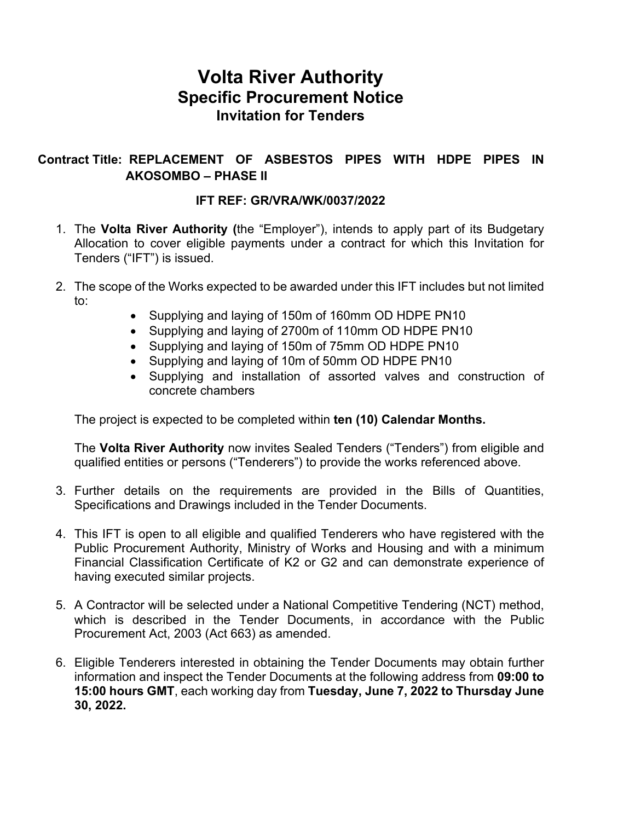## **Volta River Authority Specific Procurement Notice Invitation for Tenders**

## **Contract Title: REPLACEMENT OF ASBESTOS PIPES WITH HDPE PIPES IN AKOSOMBO – PHASE II**

## **IFT REF: GR/VRA/WK/0037/2022**

- 1. The **Volta River Authority (**the "Employer"), intends to apply part of its Budgetary Allocation to cover eligible payments under a contract for which this Invitation for Tenders ("IFT") is issued.
- 2. The scope of the Works expected to be awarded under this IFT includes but not limited to:
	- Supplying and laying of 150m of 160mm OD HDPE PN10
	- Supplying and laying of 2700m of 110mm OD HDPE PN10
	- Supplying and laying of 150m of 75mm OD HDPE PN10
	- Supplying and laying of 10m of 50mm OD HDPE PN10
	- Supplying and installation of assorted valves and construction of concrete chambers

The project is expected to be completed within **ten (10) Calendar Months.** 

The **Volta River Authority** now invites Sealed Tenders ("Tenders") from eligible and qualified entities or persons ("Tenderers") to provide the works referenced above.

- 3. Further details on the requirements are provided in the Bills of Quantities, Specifications and Drawings included in the Tender Documents.
- 4. This IFT is open to all eligible and qualified Tenderers who have registered with the Public Procurement Authority, Ministry of Works and Housing and with a minimum Financial Classification Certificate of K2 or G2 and can demonstrate experience of having executed similar projects.
- 5. A Contractor will be selected under a National Competitive Tendering (NCT) method, which is described in the Tender Documents, in accordance with the Public Procurement Act, 2003 (Act 663) as amended.
- 6. Eligible Tenderers interested in obtaining the Tender Documents may obtain further information and inspect the Tender Documents at the following address from **09:00 to 15:00 hours GMT**, each working day from **Tuesday, June 7, 2022 to Thursday June 30, 2022.**